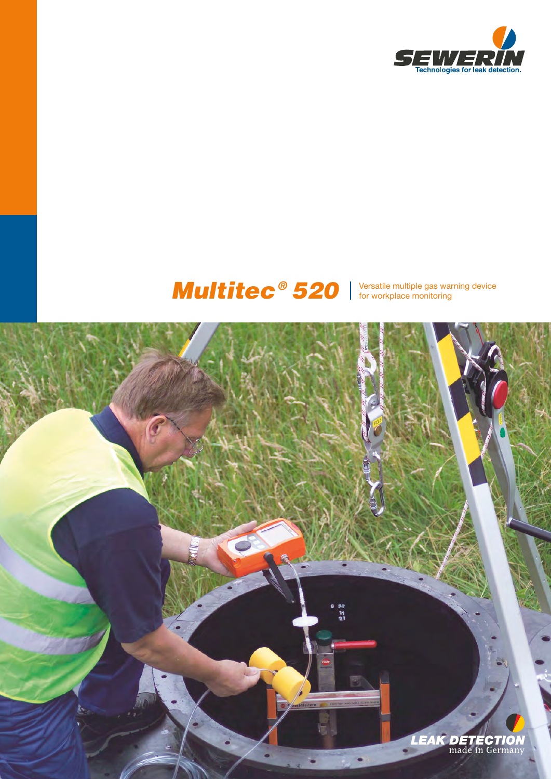

# Multitec<sup>®</sup> 520 Samultiple gas warning device